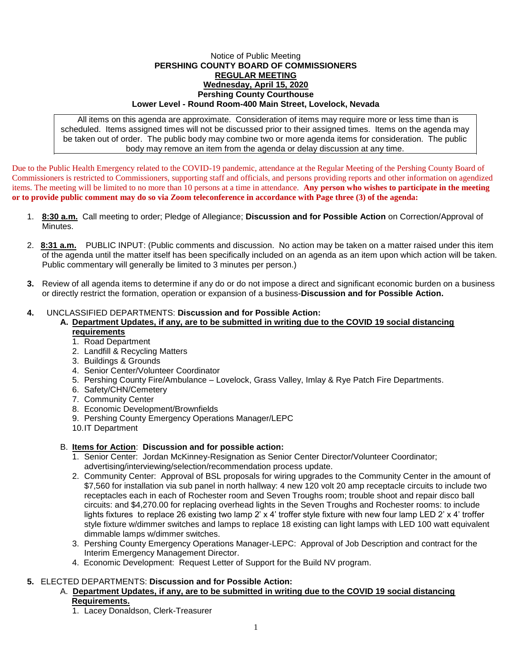#### Notice of Public Meeting **PERSHING COUNTY BOARD OF COMMISSIONERS REGULAR MEETING Wednesday, April 15, 2020 Pershing County Courthouse Lower Level - Round Room-400 Main Street, Lovelock, Nevada**

All items on this agenda are approximate. Consideration of items may require more or less time than is scheduled. Items assigned times will not be discussed prior to their assigned times. Items on the agenda may be taken out of order. The public body may combine two or more agenda items for consideration. The public body may remove an item from the agenda or delay discussion at any time.

Due to the Public Health Emergency related to the COVID-19 pandemic, attendance at the Regular Meeting of the Pershing County Board of Commissioners is restricted to Commissioners, supporting staff and officials, and persons providing reports and other information on agendized items. The meeting will be limited to no more than 10 persons at a time in attendance. **Any person who wishes to participate in the meeting or to provide public comment may do so via Zoom teleconference in accordance with Page three (3) of the agenda:** 

- 1. **8:30 a.m.** Call meeting to order; Pledge of Allegiance; **Discussion and for Possible Action** on Correction/Approval of Minutes.
- 2. **8:31 a.m.** PUBLIC INPUT: (Public comments and discussion. No action may be taken on a matter raised under this item of the agenda until the matter itself has been specifically included on an agenda as an item upon which action will be taken. Public commentary will generally be limited to 3 minutes per person.)
- **3.** Review of all agenda items to determine if any do or do not impose a direct and significant economic burden on a business or directly restrict the formation, operation or expansion of a business-**Discussion and for Possible Action.**

# **4.** UNCLASSIFIED DEPARTMENTS: **Discussion and for Possible Action:**

- **A. Department Updates, if any, are to be submitted in writing due to the COVID 19 social distancing requirements**
	- 1. Road Department
	- 2. Landfill & Recycling Matters
	- 3. Buildings & Grounds
	- 4. Senior Center/Volunteer Coordinator
	- 5. Pershing County Fire/Ambulance Lovelock, Grass Valley, Imlay & Rye Patch Fire Departments.
	- 6. Safety/CHN/Cemetery
	- 7. Community Center
	- 8. Economic Development/Brownfields
	- 9. Pershing County Emergency Operations Manager/LEPC
	- 10.IT Department

# B. **Items for Action**: **Discussion and for possible action:**

- 1. Senior Center: Jordan McKinney-Resignation as Senior Center Director/Volunteer Coordinator; advertising/interviewing/selection/recommendation process update.
- 2. Community Center: Approval of BSL proposals for wiring upgrades to the Community Center in the amount of \$7,560 for installation via sub panel in north hallway: 4 new 120 volt 20 amp receptacle circuits to include two receptacles each in each of Rochester room and Seven Troughs room; trouble shoot and repair disco ball circuits: and \$4,270.00 for replacing overhead lights in the Seven Troughs and Rochester rooms: to include lights fixtures to replace 26 existing two lamp 2' x 4' troffer style fixture with new four lamp LED 2' x 4' troffer style fixture w/dimmer switches and lamps to replace 18 existing can light lamps with LED 100 watt equivalent dimmable lamps w/dimmer switches.
- 3. Pershing County Emergency Operations Manager-LEPC: Approval of Job Description and contract for the Interim Emergency Management Director.
- 4. Economic Development: Request Letter of Support for the Build NV program.

# **5.** ELECTED DEPARTMENTS: **Discussion and for Possible Action:**

# A. **Department Updates, if any, are to be submitted in writing due to the COVID 19 social distancing Requirements.**

1. Lacey Donaldson, Clerk-Treasurer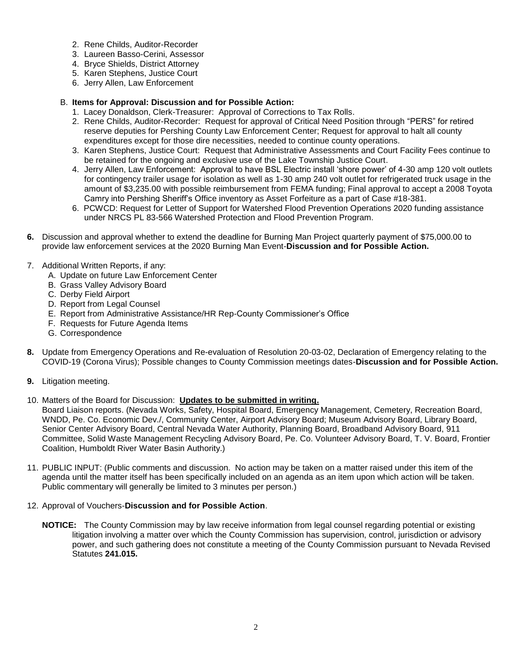- 2. Rene Childs, Auditor-Recorder
- 3. Laureen Basso-Cerini, Assessor
- 4. Bryce Shields, District Attorney
- 5. Karen Stephens, Justice Court
- 6. Jerry Allen, Law Enforcement

#### B. **Items for Approval: Discussion and for Possible Action:**

- 1. Lacey Donaldson, Clerk-Treasurer: Approval of Corrections to Tax Rolls.
- 2. Rene Childs, Auditor-Recorder: Request for approval of Critical Need Position through "PERS" for retired reserve deputies for Pershing County Law Enforcement Center; Request for approval to halt all county expenditures except for those dire necessities, needed to continue county operations.
- 3. Karen Stephens, Justice Court: Request that Administrative Assessments and Court Facility Fees continue to be retained for the ongoing and exclusive use of the Lake Township Justice Court.
- 4. Jerry Allen, Law Enforcement: Approval to have BSL Electric install 'shore power' of 4-30 amp 120 volt outlets for contingency trailer usage for isolation as well as 1-30 amp 240 volt outlet for refrigerated truck usage in the amount of \$3,235.00 with possible reimbursement from FEMA funding; Final approval to accept a 2008 Toyota Camry into Pershing Sheriff's Office inventory as Asset Forfeiture as a part of Case #18-381.
- 6. PCWCD: Request for Letter of Support for Watershed Flood Prevention Operations 2020 funding assistance under NRCS PL 83-566 Watershed Protection and Flood Prevention Program.
- **6.** Discussion and approval whether to extend the deadline for Burning Man Project quarterly payment of \$75,000.00 to provide law enforcement services at the 2020 Burning Man Event-**Discussion and for Possible Action.**
- 7. Additional Written Reports, if any:
	- A. Update on future Law Enforcement Center
	- B. Grass Valley Advisory Board
	- C. Derby Field Airport
	- D. Report from Legal Counsel
	- E. Report from Administrative Assistance/HR Rep-County Commissioner's Office
	- F. Requests for Future Agenda Items
	- G. Correspondence
- **8.** Update from Emergency Operations and Re-evaluation of Resolution 20-03-02, Declaration of Emergency relating to the COVID-19 (Corona Virus); Possible changes to County Commission meetings dates-**Discussion and for Possible Action.**
- **9.** Litigation meeting.
- 10. Matters of the Board for Discussion: **Updates to be submitted in writing.**
- Board Liaison reports. (Nevada Works, Safety, Hospital Board, Emergency Management, Cemetery, Recreation Board, WNDD, Pe. Co. Economic Dev./, Community Center, Airport Advisory Board; Museum Advisory Board, Library Board, Senior Center Advisory Board, Central Nevada Water Authority, Planning Board, Broadband Advisory Board, 911 Committee, Solid Waste Management Recycling Advisory Board, Pe. Co. Volunteer Advisory Board, T. V. Board, Frontier Coalition, Humboldt River Water Basin Authority.)
- 11. PUBLIC INPUT: (Public comments and discussion. No action may be taken on a matter raised under this item of the agenda until the matter itself has been specifically included on an agenda as an item upon which action will be taken. Public commentary will generally be limited to 3 minutes per person.)
- 12. Approval of Vouchers-**Discussion and for Possible Action**.
	- **NOTICE:** The County Commission may by law receive information from legal counsel regarding potential or existing litigation involving a matter over which the County Commission has supervision, control, jurisdiction or advisory power, and such gathering does not constitute a meeting of the County Commission pursuant to Nevada Revised Statutes **241.015.**